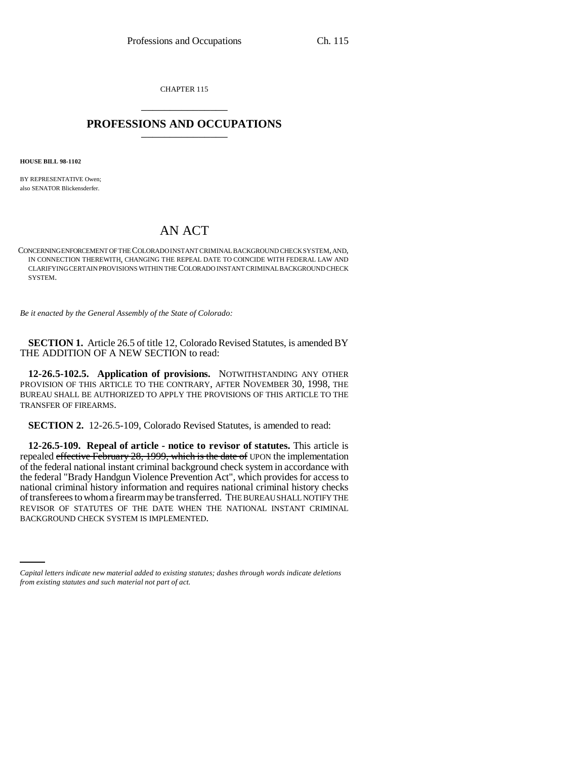CHAPTER 115 \_\_\_\_\_\_\_\_\_\_\_\_\_\_\_

## **PROFESSIONS AND OCCUPATIONS** \_\_\_\_\_\_\_\_\_\_\_\_\_\_\_

**HOUSE BILL 98-1102**

BY REPRESENTATIVE Owen; also SENATOR Blickensderfer.

## AN ACT

CONCERNING ENFORCEMENT OF THE COLORADO INSTANT CRIMINAL BACKGROUND CHECK SYSTEM, AND, IN CONNECTION THEREWITH, CHANGING THE REPEAL DATE TO COINCIDE WITH FEDERAL LAW AND CLARIFYING CERTAIN PROVISIONS WITHIN THE COLORADO INSTANT CRIMINAL BACKGROUND CHECK SYSTEM.

*Be it enacted by the General Assembly of the State of Colorado:*

**SECTION 1.** Article 26.5 of title 12, Colorado Revised Statutes, is amended BY THE ADDITION OF A NEW SECTION to read:

**12-26.5-102.5. Application of provisions.** NOTWITHSTANDING ANY OTHER PROVISION OF THIS ARTICLE TO THE CONTRARY, AFTER NOVEMBER 30, 1998, THE BUREAU SHALL BE AUTHORIZED TO APPLY THE PROVISIONS OF THIS ARTICLE TO THE TRANSFER OF FIREARMS.

**SECTION 2.** 12-26.5-109, Colorado Revised Statutes, is amended to read:

REVISOR OF STATUTES OF THE DATE WHEN THACKGROUND CHECK SYSTEM IS IMPLEMENTED. **12-26.5-109. Repeal of article - notice to revisor of statutes.** This article is repealed effective February 28, 1999, which is the date of UPON the implementation of the federal national instant criminal background check system in accordance with the federal "Brady Handgun Violence Prevention Act", which provides for access to national criminal history information and requires national criminal history checks of transferees to whom a firearm may be transferred. THE BUREAU SHALL NOTIFY THE REVISOR OF STATUTES OF THE DATE WHEN THE NATIONAL INSTANT CRIMINAL

*Capital letters indicate new material added to existing statutes; dashes through words indicate deletions from existing statutes and such material not part of act.*